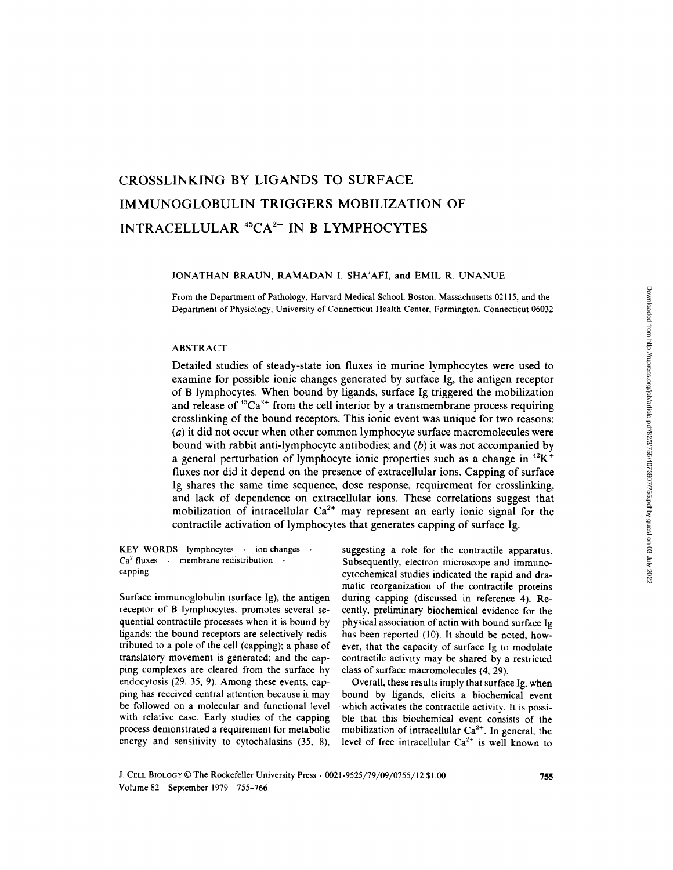# CROSSLINKING BY LIGANDS TO SURFACE IMMUNOGLOBULIN TRIGGERS MOBILIZATION OF INTRACELLULAR <sup>45</sup>CA<sup>2+</sup> IN B LYMPHOCYTES

### JONATHAN BRAUN, RAMADAN I. SHA'AFI, and EMIL R. UNANUE

From the Department of Pathology, Harvard Medical School, Boston, Massachusetts 02115, and the Department of Physiology, University of Connecticut Health Center, Farmington, Connecticut 06032

### ABSTRACT

Detailed studies of steady-state ion fluxes in murine lymphocytes were used to examine for possible ionic changes generated by surface Ig, the antigen receptor of B lymphocytes. When bound by ligands, surface Ig triggered the mobilization and release of  $45Ca^{2+}$  from the cell interior by a transmembrane process requiring crosslinking of the bound receptors. This ionic event was unique for two reasons: (a) it did not occur when other common lymphocyte surface macromolecules were bound with rabbit anti-lymphocyte antibodies; and  $(b)$  it was not accompanied by a general perturbation of lymphocyte ionic properties such as a change in  ${}^{42}K^+$ fluxes nor did it depend on the presence of extracellular ions. Capping of surface Ig shares the same time sequence, dose response, requirement for crosslinking, and lack of dependence on extracellular ions. These correlations suggest that mobilization of intracellular  $Ca^{2+}$  may represent an early ionic signal for the contractile activation of lymphocytes that generates capping of surface Ig.

KEY WORDS lymphocytes - ion changes - $Ca<sup>2</sup>$  fluxes  $\cdot$  membrane redistribution  $\cdot$ capping

Surface immunoglobulin (surface Ig), the antigen receptor of B lymphocytes, promotes several sequential contractile processes when it is bound by ligands: the bound receptors are selectively redistributed to a pole of the cell (capping); a phase of translatory movement is generated; and the capping complexes are cleared from the surface by endocytosis (29, 35, 9) . Among these events, capping has received central attention because it may be followed on a molecular and functional level with relative ease. Early studies of the capping process demonstrated a requirement for metabolic energy and sensitivity to cytochalasins (35, 8),

suggesting a role for the contractile apparatus. Subsequently, electron microscope and immunocytochemical studies indicated the rapid and dramatic reorganization of the contractile proteins during capping (discussed in reference 4). Recently, preliminary biochemical evidence for the physical association of actin with bound surface Ig has been reported (10). It should be noted, however, that the capacity of surface Ig to modulate contractile activity may be shared by <sup>a</sup> restricted class of surface macromolecules (4, 29).

Overall, these results imply that surface Ig, when bound by ligands, elicits a biochemical event which activates the contractile activity. It is possible that this biochemical event consists of the mobilization of intracellular  $Ca<sup>2+</sup>$ . In general, the level of free intracellular  $Ca^{2+}$  is well known to

J. CELL BIOLOGY © The Rockefeller University Press · 0021-9525/79/09/0755/12 \$1.00 Volume 82 September 1979 755-766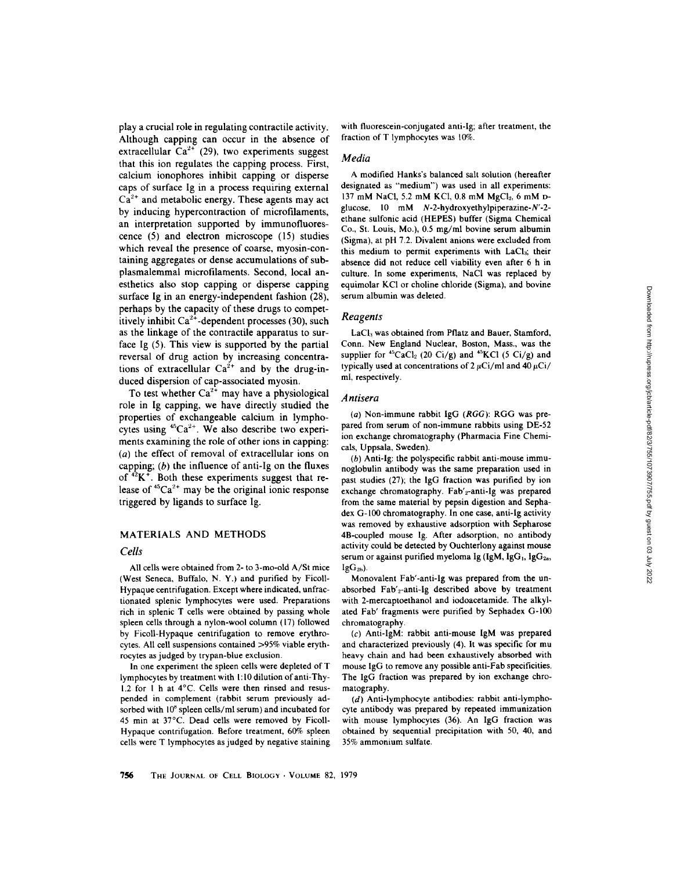play a crucial role in regulating contractile activity. Although capping can occur in the absence of extracellular  $Ca^{2+}$  (29), two experiments suggest that this ion regulates the capping process. First, calcium ionophores inhibit capping or disperse caps of surface Ig in a process requiring external  $Ca<sup>2+</sup>$  and metabolic energy. These agents may act by inducing hypercontraction of microfilaments, an interpretation supported by immunofluorescence (5) and electron microscope (15) studies which reveal the presence of coarse, myosin-containing aggregates or dense accumulations of subplasmalemmal microfilaments. Second, local anesthetics also stop capping or disperse capping surface Ig in an energy-independent fashion (28), perhaps by the capacity of these drugs to competitively inhibit  $Ca^{2+}$ -dependent processes (30), such as the linkage of the contractile apparatus to surface Ig (5). This view is supported by the partial reversal of drug action by increasing concentrations of extracellular  $Ca^{2+}$  and by the drug-induced dispersion of cap-associated myosin.

To test whether  $Ca^{2+}$  may have a physiological role in Ig capping, we have directly studied the properties of exchangeable calcium in lymphocytes using  ${}^{45}Ca^{2+}$ . We also describe two experiments examining the role of other ions in capping:  $(a)$  the effect of removal of extracellular ions on capping;  $(b)$  the influence of anti-Ig on the fluxes capping; (*b*) the influence of anti-ig on the fluxes<br>of  $^{42}$ K<sup>+</sup>. Both these experiments suggest that release of  ${}^{45}Ca^{2+}$  may be the original ionic response triggered by ligands to surface Ig.

### MATERIALS AND METHODS

### Cells

All cells were obtained from 2- to 3-mo-old A/St mice (West Seneca, Buffalo, N. Y.) and purified by Ficoll-Hypaque centrifugation. Except where indicated, unfractionated splenic lymphocytes were used . Preparations rich in splenic T cells were obtained by passing whole spleen cells through a nylon-wool column (17) followed by Ficoll-Hypaque centrifugation to remove erythrocytes. All cell suspensions contained >95% viable erythrocytes as judged by trypan-blue exclusion.

In one experiment the spleen cells were depleted of T lymphocytes by treatment with <sup>1</sup> :10 dilution of anti-Thy-1.2 for 1 h at 4°C. Cells were then rinsed and resuspended in complement (rabbit serum previously adsorbed with  $10^8$  spleen cells/ml serum) and incubated for 45 min at 37°C . Dead cells were removed by Ficoll-Hypaque contrifugation. Before treatment, 60% spleen cells were T lymphocytes as judged by negative staining with fluorescein-conjugated anti-1g; after treatment, the fraction of T lymphocytes was 10%.

### Media

A modified Hanks's balanced salt solution (hereafter designated as "medium") was used in all experiments: 137 mM NaCl, 5.2 mM KCl, 0.8 mM  $MgCl<sub>2</sub>$ , 6 mM Dglucose, <sup>10</sup> mM N-2-hydroxyethylpiperazine-N'-2 ethane sulfonic acid (HEPES) buffer (Sigma Chemical Co., St. Louis, Mo.), 0.5 mg/ml bovine serum albumin (Sigma), at pH 7.2 . Divalent anions were excluded from this medium to permit experiments with LaCl<sub>3</sub>; their absence did not reduce cell viability even after 6 h in culture. In some experiments, NaCl was replaced by equimolar KCI or choline chloride (Sigma), and bovine serum albumin was deleted

### Reagents

LaCl<sub>3</sub> was obtained from Pflatz and Bauer, Stamford, Conn. New England Nuclear, Boston, Mass., was the supplier for  ${}^{45}CaCl_2$  (20 Ci/g) and  ${}^{45}KCl$  (5 Ci/g) and typically used at concentrations of  $2 \mu \text{Ci/ml}$  and  $40 \mu \text{Ci}$ ml, respectively.

### Antisera

(a) Non-immune rabbit IgG (RGG): RGG was prepared from serum of non-immune rabbits using DE-52 ion exchange chromatography (Pharmacia Fine Chemicals, Uppsala, Sweden).

(b) Anti-Ig: the polyspecific rabbit anti-mouse immunoglobulin antibody was the same preparation used in past studies  $(27)$ ; the IgG fraction was purified by ion exchange chromatography. Fab'<sub>2</sub>-anti-Ig was prepared from the same material by pepsin digestion and Sephadex G-100 chromatography. In one case, anti-Ig activity was removed by exhaustive adsorption with Sepharose 4B-coupled mouse Ig . After adsorption, no antibody activity could be detected by Ouchterlony against mouse serum or against purified myeloma Ig (IgM, IgG<sub>1</sub>, IgG<sub>2a</sub>,  $IgG_{2b}$ ).

Monovalent Fab'-anti-Ig was prepared from the unabsorbed Fab'<sub>2</sub>-anti-Ig described above by treatment with 2-mercaptoethanol and iodoacetamide. The alkylated Fab' fragments were purified by Sephadex G-100 chromatography .

 $(c)$  Anti-IgM: rabbit anti-mouse IgM was prepared and characterized previously (4). It was specific for mu heavy chain and had been exhaustively absorbed with mouse IgG to remove any possible anti-Fab specificities . The IgG fraction was prepared by ion exchange chromatography.

 $(d)$  Anti-lymphocyte antibodies: rabbit anti-lymphocyte antibody was prepared by repeated immunization with mouse lymphocytes (36) . An IgG fraction was obtained by sequential precipitation with 50, 40, and 35% ammonium sulfate.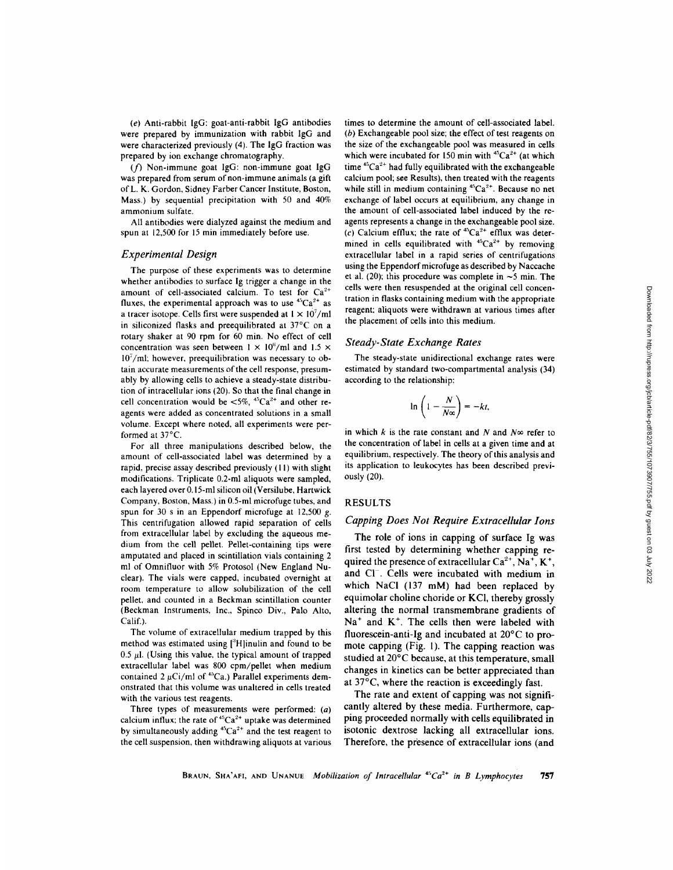(e) Anti-rabbit IgG: goat-anti-rabbit IgG antibodies were prepared by immunization with rabbit IgG and were characterized previously (4). The IgG fraction was prepared by ion exchange chromatography.

(f) Non-immune goat IgG: non-immune goat IgG was prepared from serum of non-immune animals (a gift of L. K. Gordon, Sidney Farber Cancer Institute, Boston, Mass.) by sequential precipitation with 50 and  $40\%$ ammonium sulfate.

All antibodies were dialyzed against the medium and spun at 12,500 for 15 min immediately before use.

#### Experimental Design

The purpose of these experiments was to determine whether antibodies to surface Ig trigger a change in the amount of cell-associated calcium. To test for  $Ca<sup>2+</sup>$ fluxes, the experimental approach was to use  ${}^{45}Ca^{2+}$  as a tracer isotope. Cells first were suspended at  $1 \times 10^7$ /ml in siliconized flasks and preequilibrated at  $37^{\circ}$ C on a rotary shaker at 90 rpm for 60 min. No effect of cell concentration was seen between  $1 \times 10^{6}$ /ml and  $1.5 \times$  $10<sup>7</sup>/ml$ ; however, preequilibration was necessary to obtain accurate measurements of the cell response, presumably by allowing cells to achieve a steady-state distribution of intracellular ions (20). So that the final change in cell concentration would be  $\lt 5\%$ , <sup>45</sup>Ca<sup>2+</sup> and other reagents were added as concentrated solutions in a small volume. Except where noted, all experiments were performed at 37°C.

For all three manipulations described below, the amount of cell-associated label was determined by a rapid, precise assay described previously (11) with slight modifications. Triplicate 0.2-ml aliquots were sampled, each layered over 0.15-ml silicon oil (Versilube, Hartwick Company, Boston, Mass .) in 0.5-ml microfuge tubes, and spun for 30 s in an Eppendorf microfuge at  $12,500$  g. This centrifugation allowed rapid separation of cells from extracellular label by excluding the aqueous medium from the cell pellet. Pellet-containing tips were amputated and placed in scintillation vials containing 2 ml of Omnifluor with 5% Protosol (New England Nuclear). The vials were capped, incubated overnight at room temperature to allow solubilization of the cell pellet, and counted in a Beckman scintillation counter (Beckman Instruments, Inc., Spinco Div., Palo Alto, Calif.).

The volume of extracellular medium trapped by this method was estimated using [<sup>3</sup>H]inulin and found to be 0.5  $\mu$ l. (Using this value, the typical amount of trapped extracellular label was 800 cpm/pellet when medium contained 2  $\mu$ Ci/ml of <sup>45</sup>Ca.) Parallel experiments demonstrated that this volume was unaltered in cells treated with the various test reagents.

Three types of measurements were performed: (a) calcium influx; the rate of  $45Ca^{2+}$  uptake was determined by simultaneously adding  ${}^{45}Ca^{2+}$  and the test reagent to the cell suspension, then withdrawing aliquots at various

times to determine the amount of cell-associated label.  $(b)$  Exchangeable pool size; the effect of test reagents on the size of the exchangeable pool was measured in cells which were incubated for 150 min with  ${}^{45}Ca^{2+}$  (at which time  $45Ca^{2+}$  had fully equilibrated with the exchangeable calcium pool; see Results), then treated with the reagents while still in medium containing  ${}^{45}Ca^{2+}$ . Because no net exchange of label occurs at equilibrium, any change in the amount of cell-associated label induced by the reagents represents a change in the exchangeable pool size. (c) Calcium efflux; the rate of  $45Ca^{2+}$  efflux was determined in cells equilibrated with  $45Ca^{2+}$  by removing extracellular label in a rapid series of centrifugations using the Eppendorf microfuge as described by Naccache et al. (20); this procedure was complete in  $\sim$ 5 min. The cells were then resuspended at the original cell concentration in flasks containing medium with the appropriate reagent; aliquots were withdrawn at various times after the placement of cells into this medium.

### Steady-State Exchange Rates

The steady-state unidirectional exchange rates were estimated by standard two-compartmental analysis (34) according to the relationship

$$
\ln\left(1-\frac{N}{N\infty}\right)=-kt,
$$

in which k is the rate constant and N and N $\infty$  refer to the concentration of label in cells at a given time and at equilibrium, respectively. The theory of this analysis and its application to leukocytes has been described previously (20).

### RESULTS

#### Capping Does Not Require Extracellular Ions

The role of ions in capping of surface Ig was first tested by determining whether capping required the presence of extracellular  $Ca^{2+}$ , Na<sup>+</sup>, K<sup>+</sup>, and Cl<sup>-</sup>. Cells were incubated with medium in which NaCl (137 mM) had been replaced by equimolar choline choride or KCI, thereby grossly altering the normal transmembrane gradients of  $Na<sup>+</sup>$  and  $K<sup>+</sup>$ . The cells then were labeled with fluorescein-anti-Ig and incubated at 20'C to promote capping  $(Fig. 1)$ . The capping reaction was studied at 20'C because, at this temperature, small changes in kinetics can be better appreciated than at 37°C, where the reaction is exceedingly fast.

The rate and extent of capping was not significantly altered by these media. Furthermore, capping proceeded normally with cells equilibrated in isotonic dextrose lacking all extracellular ions. Therefore, the presence of extracellular ions (and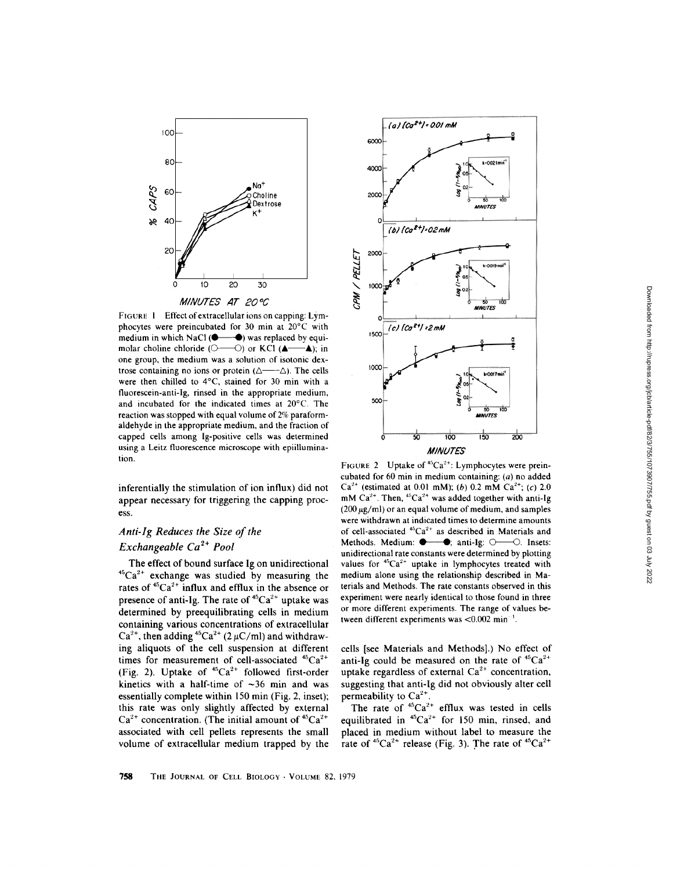

FIGURE 1 Effect of extracellular ions on capping: Lymphocytes were preincubated for 30 min at 20°C with medium in which NaCI was replaced by equi-molar choline chloride (O----0) or KCI ("-") ; in one group, the medium was a solution of isotonic dextrose containing no ions or protein  $(\triangle \rightarrow \triangle)$ . The cells were then chilled to 4°C, stained for 30 min with a fluorescein-anti-Ig, rinsed in the appropriate medium, and incubated for the indicated times at 20°C . The reaction was stopped with equal volume of 2% paraformaldehyde in the appropriate medium, and the fraction of capped cells among Ig-positive cells was determined using a Leitz fluorescence microscope with epiillumination.

inferentially the stimulation of ion influx) did not appear necessary for triggering the capping process.

# Anti-Ig Reduces the Size of the Exchangeable  $Ca^{2+}$  Pool

The effect of bound surface Ig on unidirectional  ${}^{45}Ca^{2+}$  exchange was studied by measuring the rates of  $45Ca^{2+}$  influx and efflux in the absence or presence of anti-Ig. The rate of  $45Ca^{2+}$  uptake was determined by preequilibrating cells in medium containing various concentrations of extracellular  $Ca^{2+}$ , then adding <sup>45</sup>Ca<sup>2+</sup> (2  $\mu$ C/ml) and withdrawing aliquots of the cell suspension at different times for measurement of cell-associated  $45Ca^{2+}$ (Fig. 2). Uptake of  $45Ca^{2+}$  followed first-order kinetics with a half-time of  $\sim$ 36 min and was essentially complete within 150 min (Fig. 2, inset); this rate was only slightly affected by external  $Ca^{2+}$  concentration. (The initial amount of  ${}^{45}Ca^{2+}$ associated with cell pellets represents the small volume of extracellular medium trapped by the



FIGURE 2 Uptake of  $45Ca^{2+}$ : Lymphocytes were preincubated for 60 min in medium containing:  $(a)$  no added  $Ca^{2+}$  (estimated at 0.01 mM); (b) 0.2 mM  $Ca^{2+}$ ; (c) 2.0 mM Ca<sup>2+</sup>. Then, <sup>45</sup>Ca<sup>2+</sup> was added together with anti-Ig  $(200 \,\mu$ g/ml) or an equal volume of medium, and samples were withdrawn at indicated times to determine amounts of cell-associated  ${}^{45}Ca^{2+}$  as described in Materials and Methods. Medium:  $\bullet$   $\bullet$ ; anti-Ig:  $\circ$  - O. Insets: unidirectional rate constants were determined by plotting values for  ${}^{45}Ca^{2+}$  uptake in lymphocytes treated with medium alone using the relationship described in Materials and Methods. The rate constants observed in this experiment were nearly identical to those found in three or more different experiments. The range of values between different experiments was  $<$ 0.002 min<sup>-1</sup>.

cells [see Materials and Methods].) No effect of anti-Ig could be measured on the rate of  $45Ca^{2+}$ uptake regardless of external  $Ca^{2+}$  concentration, suggesting that anti-Ig did not obviously alter cell permeability to  $Ca^{2+}$ 

The rate of  $45Ca^{2+}$  efflux was tested in cells equilibrated in  $45Ca^{2+}$  for 150 min, rinsed, and placed in medium without label to measure the rate of  ${}^{45}Ca^{2+}$  release (Fig. 3). The rate of  ${}^{45}Ca^{2+}$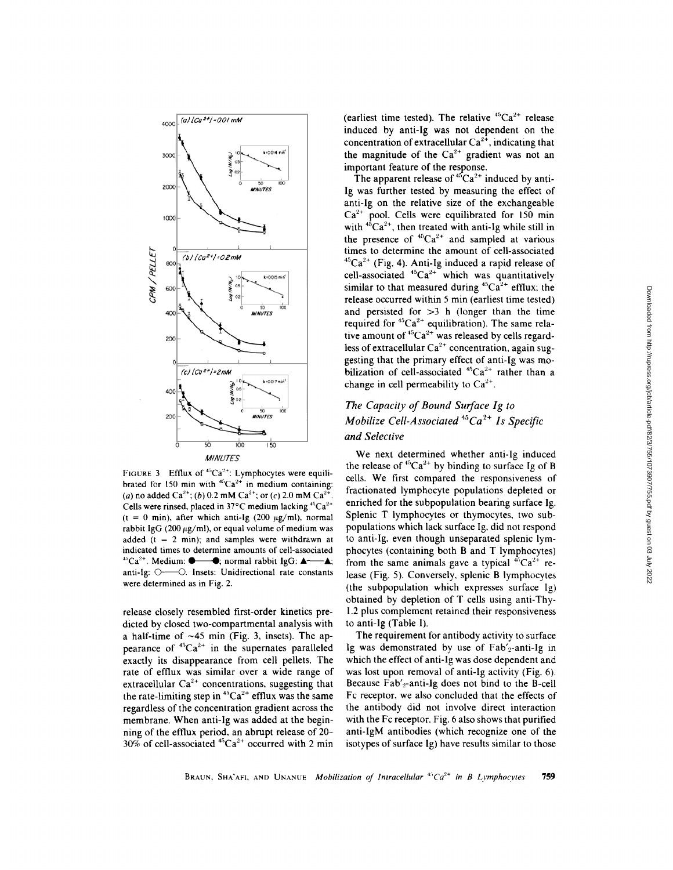

FIGURE 3 Efflux of  $45Ca^{2+}$ : Lymphocytes were equilibrated for 150 min with  ${}^{45}Ca^{2+}$  in medium containing: (a) no added Ca<sup>2+</sup>; (b) 0.2 mM Ca<sup>2+</sup>; or (c) 2.0 mM Ca<sup>2+</sup>. Cells were rinsed, placed in  $37^{\circ}$ C medium lacking  $45Ca^{2+}$  $(t = 0$  min), after which anti-Ig (200  $\mu$ g/ml), normal rabbit IgG (200  $\mu$ g/ml), or equal volume of medium was added ( $t = 2$  min); and samples were withdrawn at indicated times to determine amounts of cell-associated  $^{45}Ca^{2+}$ . Medium:  $\bullet$   $\bullet$ ; normal rabbit IgG:  $\bullet$   $\bullet$ ; anti-Ig: O-O. Insets: Unidirectional rate constants were determined as in Fig. 2.

release closely resembled first-order kinetics predicted by closed two-compartmental analysis with a half-time of  $\sim$ 45 min (Fig. 3, insets). The appearance of  ${}^{45}Ca^{2+}$  in the supernates paralleled exactly its disappearance from cell pellets. The rate of efflux was similar over <sup>a</sup> wide range of extracellular  $Ca^{2+}$  concentrations, suggesting that the rate-limiting step in  ${}^{45}Ca^{2+}$  efflux was the same regardless of the concentration gradient across the membrane. When anti-Ig was added at the beginning of the efflux period, an abrupt release of 20-  $30\%$  of cell-associated  $45Ca^{2+}$  occurred with 2 min (earliest time tested). The relative  ${}^{45}Ca^{2+}$  release induced by anti-Ig was not dependent on the concentration of extracellular  $Ca^{2+}$ , indicating that the magnitude of the  $Ca^{2+}$  gradient was not an important feature of the response.

The apparent release of  $45Ca^{2+}$  induced by anti-Ig was further tested by measuring the effect of anti-Ig on the relative size of the exchangeable  $Ca<sup>2+</sup>$  pool. Cells were equilibrated for 150 min with  $45Ca^{2+}$ , then treated with anti-Ig while still in the presence of  ${}^{45}Ca^{2+}$  and sampled at various times to determine the amount of cell-associated  ${}^{45}Ca^{2+}$  (Fig. 4). Anti-Ig induced a rapid release of cell-associated  $45Ca^{2+}$  which was quantitatively similar to that measured during  ${}^{45}Ca^{2+}$  efflux; the release occurred within <sup>5</sup> min (earliest time tested) and persisted for  $>3$  h (longer than the time required for  ${}^{45}Ca^{2+}$  equilibration). The same relative amount of  ${}^{45}Ca^{2+}$  was released by cells regardless of extracellular  $Ca^{2+}$  concentration, again suggesting that the primary effect of anti-Ig was mobilization of cell-associated  ${}^{45}Ca^{2+}$  rather than a change in cell permeability to  $Ca^{2+}$ .

# The Capacity of Bound Surface Ig to Mobilize Cell-Associated  ${}^{45}Ca<sup>2+</sup>$  Is Specific and Selective

We next determined whether anti-Ig induced the release of  ${}^{45}Ca^{2+}$  by binding to surface Ig of B cells. We first compared the responsiveness of fractionated lymphocyte populations depleted or enriched for the subpopulation bearing surface Ig. Splenic T lymphocytes or thymocytes, two subpopulations which lack surface Ig, did not respond to anti-Ig, even though unseparated splenic lymphocytes (containing both B and T lymphocytes) from the same animals gave a typical  $45Ca^{2+}$  release (Fig. 5). Conversely, splenic B lymphocytes (the subpopulation which expresses surface Ig) obtained by depletion of T cells using anti-Thy-<sup>1</sup> .2 plus complement retained their responsiveness to anti-Ig (Table I).

The requirement for antibody activity to surface Ig was demonstrated by use of  $Fab'_{2}$ -anti-Ig in which the effect of anti-Ig was dose dependent and was lost upon removal of anti-Ig activity (Fig. 6). Because Fab'<sub>2</sub>-anti-Ig does not bind to the B-cell Fc receptor, we also concluded that the effects of the antibody did not involve direct interaction with the Fc receptor. Fig. 6 also shows that purified anti-IgM antibodies (which recognize one of the isotypes of surface Ig) have results similar to those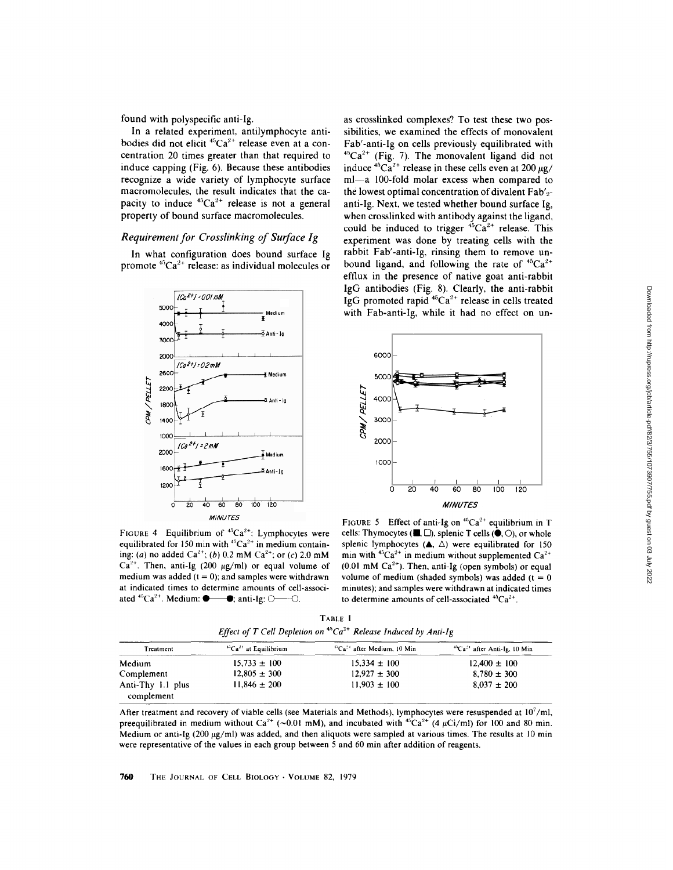found with polyspecific anti-Ig.

In a related experiment, antilymphocyte antibodies did not elicit  ${}^{45}Ca^{2+}$  release even at a concentration 20 times greater than that required to induce capping (Fig. 6). Because these antibodies recognize a wide variety of lymphocyte surface macromolecules, the result indicates that the capacity to induce  $45Ca^{2+}$  release is not a general property of bound surface macromolecules.

### Requirement for Crosslinking of Surface Ig

In what configuration does bound surface Ig promote  ${}^{45}Ca^{2+}$  release: as individual molecules or



FIGURE 4 Equilibrium of  $45Ca^{2+}$ : Lymphocytes were equilibrated for 150 min with  ${}^{45}Ca^{2+}$  in medium containing: (a) no added  $Ca^{2+}$ ; (b) 0.2 mM  $Ca^{2+}$ ; or (c) 2.0 mM  $Ca^{2+}$ . Then, anti-Ig (200  $\mu$ g/ml) or equal volume of medium was added  $(t = 0)$ ; and samples were withdrawn at indicated times to determine amounts of cell-associated  ${}^{45}Ca^{2+}$ . Medium:  $\bullet$   $\bullet$ ; anti-Ig:  $\circ$  O.

as crosslinked complexes? To test these two possibilities, we examined the effects of monovalent Fab'-anti-Ig on cells previously equilibrated with  $45Ca<sup>2+</sup>$  (Fig. 7). The monovalent ligand did not induce  ${}^{45}Ca^{2+}$  release in these cells even at 200  $\mu$ g/ ml-a 100-fold molar excess when compared to the lowest optimal concentration of divalent  $Fab'_{2}$ anti-Ig. Next, we tested whether bound surface Ig, when crosslinked with antibody against the ligand, could be induced to trigger  ${}^{45}Ca^{2+}$  release. This experiment was done by treating cells with the rabbit Fab'-anti-Ig, rinsing them to remove unbound ligand, and following the rate of  ${}^{45}Ca^{2+}$ efflux in the presence of native goat anti-rabbit IgG antibodies (Fig. 8). Clearly, the anti-rabbit IgG promoted rapid  $45Ca^{2+}$  release in cells treated with Fab-anti-Ig, while it had no effect on un-



FIGURE 5 Effect of anti-Ig on  ${}^{45}Ca^{2+}$  equilibrium in T cells: Thymocytes ( $\blacksquare, \square$ ), splenic T cells ( $\spadesuit, \bigcirc$ ), or whole splenic lymphocytes  $($   $\blacktriangle$ ,  $\triangle$ ) were equilibrated for 150 min with  ${}^{45}Ca^{2+}$  in medium without supplemented  $Ca^{2+}$  $(0.01 \text{ mM } Ca^{2+})$ . Then, anti-Ig (open symbols) or equal volume of medium (shaded symbols) was added ( $t = 0$ minutes); and samples were withdrawn at indicated times to determine amounts of cell-associated  $^{45}Ca^{2+}$ .

TABLE <sup>I</sup> Effect of T Cell Depletion on  $45Ca^{2+}$  Release Induced by Anti-Ig

| Treatment         | ${}^{45}Ca^{2+}$ at Equilibrium | $^{45}Ca2+$ after Medium. 10 Min | $^{45}Ca^{2+}$ after Anti-Ig, 10 Min |
|-------------------|---------------------------------|----------------------------------|--------------------------------------|
| Medium            | $15,733 \pm 100$                | $15.334 \pm 100$                 | $12.400 \pm 100$                     |
| Complement        | $12.805 \pm 300$                | $12.927 \pm 300$                 | $8.780 \pm 300$                      |
| Anti-Thy 1.1 plus | $11.846 \pm 200$                | $11.903 \pm 100$                 | $8.037 \pm 200$                      |
| complement        |                                 |                                  |                                      |

After treatment and recovery of viable cells (see Materials and Methods), lymphocytes were resuspended at 10'/ml, preequilibrated in medium without Ca<sup>2+</sup> (~0.01 mM), and incubated with <sup>45</sup>Ca<sup>2+</sup> (4  $\mu$ Ci/ml) for 100 and 80 min. Medium or anti-Ig (200  $\mu$ g/ml) was added, and then aliquots were sampled at various times. The results at 10 min were representative of the values in each group between 5 and 60 min after addition of reagents.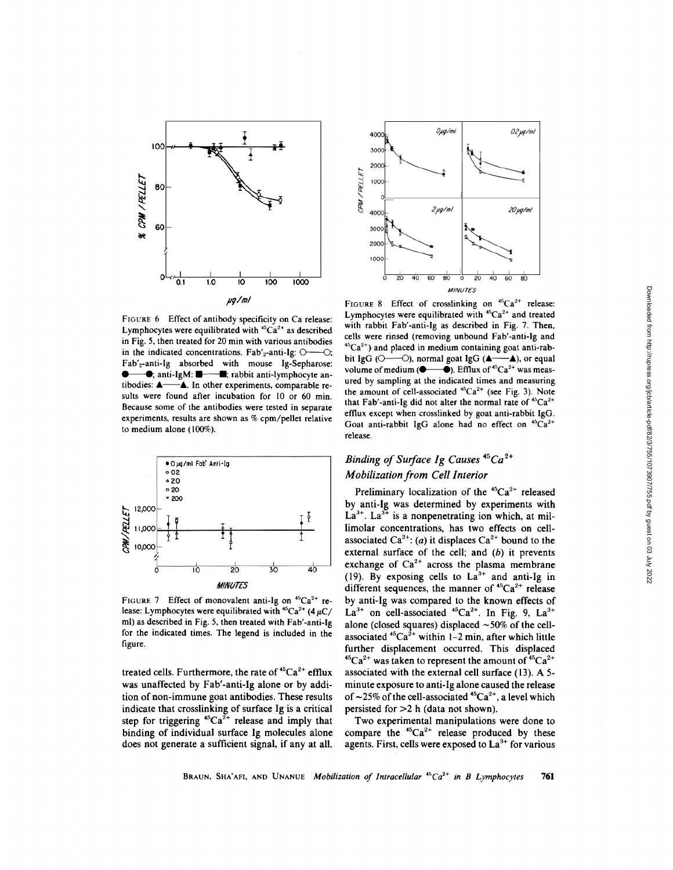

FIGURE 6 Effect of antibody specificity on Ca release: Lymphocytes were equilibrated with  ${}^{45}Ca<sup>2+</sup>$  as described in Fig. 5, then treated for 20 min with various antibodies in the indicated concentrations.  $Fab'_{2}$ -anti-Ig:  $\odot$ ---- $\odot$ ; Fab'2 -anti-Ig absorbed with mouse Ig-Sepharose: in Fig. 5, then treated for 20 min with various antibodies<br>in the indicated concentrations. Fab'<sub>2</sub>-anti-Ig:  $O$ —O;<br>Fab'<sub>2</sub>-anti-Ig absorbed with mouse Ig-Sepharose:<br> $\bullet$ , anti-IgM:  $\bullet$ , rabbit anti-lymphocyte an-<br>tibodi The absorbed with mouse ig-sepharose<br>  $\bullet$ , anti-IgM:  $\bullet$  and the experiments, comparable re-<br>sults were found after incubation for 10 or 60 min. Because some of the antibodies were tested in separate experiments, results are shown as % cpm/pellet relative to medium alone  $(100\%)$ .



FIGURE 7 Effect of monovalent anti-Ig on  ${}^{45}Ca^{2+}$  release: Lymphocytes were equilibrated with  ${}^{45}Ca^{2+}$  (4  $\mu$ C/ ml) as described in Fig. 5, then treated with Fab'-anti-Ig for the indicated times. The legend is included in the figure

treated cells. Furthermore, the rate of  $45Ca^{2+}$  efflux was unaffected by Fab'-anti-Ig alone or by addition of non-immune goat antibodies. These results indicate that crosslinking of surface Ig is a critical step for triggering  ${}^{45}Ca^{2+}$  release and imply that binding of individual surface Ig molecules alone does not generate a sufficient signal, if any at all.



FIGURE 8 Effect of crosslinking on  ${}^{45}Ca^{2+}$  release: Lymphocytes were equilibrated with  $45Ca^{2+}$  and treated with rabbit Fab'-anti-Ig as described in Fig. 7. Then, cells were rinsed (removing unbound Fab'-anti-Ig and <sup>45</sup>Ca<sup>2+</sup>) and placed in medium containing goat anti-rab-<br>bit IgG ( $\bigcirc$ —— $\bigcirc$ ), normal goat IgG ( $\blacktriangle$ —— $\blacktriangle$ ), or equal  $^{45}Ca^{2+}$ ) and placed in medium containing goat anti-rab-<br>bit IgG ( $\circ$ —— $\circ$ ), normal goat IgG ( $\bullet$ — $\bullet$ ), or equal volume of medium ( $\bullet$ — $\bullet$ ). Efflux of  $^{45}Ca^{2+}$  was measured by sampling at the indicated times and measuring the amount of cell-associated  ${}^{45}Ca^{2+}$  (see Fig. 3). Note that Fab'-anti-Ig did not alter the normal rate of  $45Ca^{2+}$ efflux except when crosslinked by goat anti-rabbit IgG . Goat anti-rabbit IgG alone had no effect on  $45Ca^{2+}$ release.

# Binding of Surface Ig Causes  $45Ca^{2+}$ Mobilization from Cell Interior

Preliminary localization of the  ${}^{45}Ca^{2+}$  released by anti-Ig was determined by experiments with  $La^{3+}$ .  $La^{3+}$  is a nonpenetrating ion which, at millimolar concentrations, has two effects on cellassociated Ca<sup>2+</sup>: (a) it displaces Ca<sup>2+</sup> bound to the external surface of the cell; and  $(b)$  it prevents exchange of  $Ca^{2+}$  across the plasma membrane (19). By exposing cells to  $La^{3+}$  and anti-Ig in different sequences, the manner of  ${}^{45}Ca^{2+}$  release by anti-Ig was compared to the known effects of  $La^{3+}$  on cell-associated <sup>45</sup>Ca<sup>2+</sup>. In Fig. 9,  $La^{3+}$ alone (closed squares) displaced  $\sim$  50% of the cellassociated  ${}^{45}Ca^{2+}$  within 1-2 min, after which little further displacement occurred. This displaced <sup>45</sup>Ca<sup>2+</sup> was taken to represent the amount of <sup>45</sup>Ca<sup>2+</sup> associated with the external cell surface (13) . A 5 minute exposure to anti-Ig alone caused the release of  $\sim$ 25% of the cell-associated <sup>45</sup>Ca<sup>2+</sup>, a level which persisted for  $>2$  h (data not shown).

Two experimental manipulations were done to compare the  ${}^{45}Ca^{2+}$  release produced by these agents. First, cells were exposed to  $La<sup>3+</sup>$  for various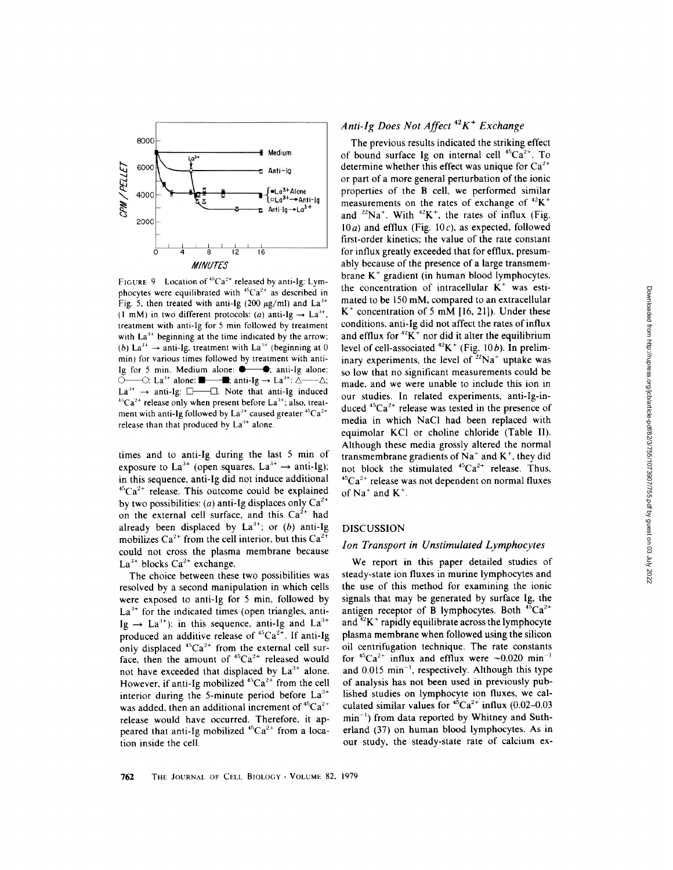

FIGURE 9 Location of  $45Ca^{2+}$  released by anti-Ig: Lymphocytes were equilibrated with  ${}^{45}Ca^{2+}$  as described in Fig. 5, then treated with anti-Ig (200  $\mu$ g/ml) and La<sup>3+</sup> (1 mM) in two different protocols: (a) anti-Ig  $\rightarrow$  La<sup>3+</sup>, treatment with anti-Ig for 5 min followed by treatment with  $La<sup>3+</sup>$  beginning at the time indicated by the arrow; (b) La<sup>3+</sup>  $\rightarrow$  anti-Ig, treatment with La<sup>3+</sup> (beginning at 0 min) for various times followed by treatment with anti-Ig for 5 min. Medium alone:  $\bullet$   $\bullet$ ; anti-Ig alone:  $\tilde{\bigcirc}$ — $\bigcirc$ : La<sup>3+</sup> alone:  $\blacksquare$  anti-Ig  $\rightarrow$  La<sup>3+</sup>:  $\Delta$ - $La^{3+} \rightarrow$  anti-Ig:  $\square$   $\square$ . Note that anti-Ig induced  $^{45}Ca^{2+}$  release only when present before La<sup>3+</sup>; also, treatment with anti-Ig followed by  $La^{3+}$  caused greater  $45Ca^{2+}$ release than that produced by  $La^{3+}$  alone.

times and to anti-Ig during the last 5 min of exposure to  $La^{3+}$  (open squares,  $La^{3+} \rightarrow$  anti-Ig); in this sequence, anti-Ig did not induce additional  ${}^{45}Ca^{2+}$  release. This outcome could be explained by two possibilities: (*a*) anti-Ig displaces only  $Ca^{2+}$ on the external cell surface, and this  $Ca<sup>2+</sup>$  had already been displaced by  $La^{3+}$ ; or (b) anti-Ig mobilizes  $Ca^{2+}$  from the cell interior, but this  $Ca^{2+}$ could not cross the plasma membrane because La<sup>3+</sup> blocks  $Ca^{2+}$  exchange.

The choice between these two possibilities was resolved by <sup>a</sup> second manipulation in which cells were exposed to anti-Ig for 5 min, followed by  $La<sup>3+</sup>$  for the indicated times (open triangles, anti-Ig  $\rightarrow$  La<sup>3+</sup>): in this sequence, anti-Ig and La<sup>3+</sup> produced an additive release of  ${}^{45}Ca<sup>2+</sup>$ . If anti-Ig only displaced  $45Ca^{2+}$  from the external cell surface, then the amount of  ${}^{45}Ca^{2+}$  released would not have exceeded that displaced by  $La^{3+}$  alone. However, if anti-Ig mobilized  $^{45}Ca^{2+}$  from the cell interior during the 5-minute period before  $La^{3+}$ was added, then an additional increment of  ${}^{45}Ca^{2+}$ release would have occurred. Therefore, it appeared that anti-Ig mobilized  $^{45}Ca^{2+}$  from a location inside the cell .

## Anti-Ig Does Not Affect<sup>42</sup> $K^+$  Exchange

The previous results indicated the striking effect of bound surface Ig on internal cell  ${}^{45}Ca^{2+}$ . To determine whether this effect was unique for  $Ca^{2+}$ or part of a more general perturbation of the ionic properties of the B cell, we performed similar measurements on the rates of exchange of  $^{42}K^+$ and  $^{22}Na^{+}$ . With  $^{42}K^{+}$ , the rates of influx (Fig.  $10a$ ) and efflux (Fig. 10c), as expected, followed first-order kinetics; the value of the rate constant for influx greatly exceeded that for efflux, presumably because of the presence of a large transmembrane  $K^+$  gradient (in human blood lymphocytes, the concentration of intracellular  $K^+$  was estimated to be <sup>150</sup> mM, compared to an extracelular  $K^+$  concentration of 5 mM [16, 21]). Under these conditions, anti-Ig did not affect the rates of influx and efflux for  ${}^{42}K^+$  nor did it alter the equilibrium level of cell-associated  $^{42}K^+$  (Fig. 10b). In preliminary experiments, the level of  $22$ Na<sup>+</sup> uptake was so low that no significant measurements could be made, and we were unable to include this ion in our studies. In related experiments, anti-Ig-induced  ${}^{45}Ca^{2+}$  release was tested in the presence of media in which NaCl had been replaced with equimolar KCl or choline chloride (Table 11). Although these media grossly altered the normal transmembrane gradients of  $Na<sup>+</sup>$  and  $K<sup>+</sup>$ , they did not block the stimulated  ${}^{45}Ca^{2+}$  release. Thus,  ${}^{45}Ca^{2+}$  release was not dependent on normal fluxes of  $Na^+$  and  $K^+$ .

### DISCUSSION

### Ion Transport in Unstimulated Lymphocytes

We report in this paper detailed studies of steady-state ion fluxes in murine lymphocytes and the use of this method for examining the ionic signals that may be generated by surface Ig, the antigen receptor of B lymphocytes. Both  ${}^{45}Ca^{2+}$ and  ${}^{42}K^+$  rapidly equilibrate across the lymphocyte plasma membrane when followed using the silicon oil centrifugation technique. The rate constants for  ${}^{45}Ca^{2+}$  influx and efflux were  $\sim 0.020$  min<sup>-1</sup> and  $0.015$  min<sup>-1</sup>, respectively. Although this type of analysis has not been used in previously published studies on lymphocyte ion fluxes, we calculated similar values for  $^{45}Ca^{2+}$  influx (0.02–0.03  $min^{-1}$ ) from data reported by Whitney and Sutherland (37) on human blood lymphocytes. As in our study, the steady-state rate of calcium ex-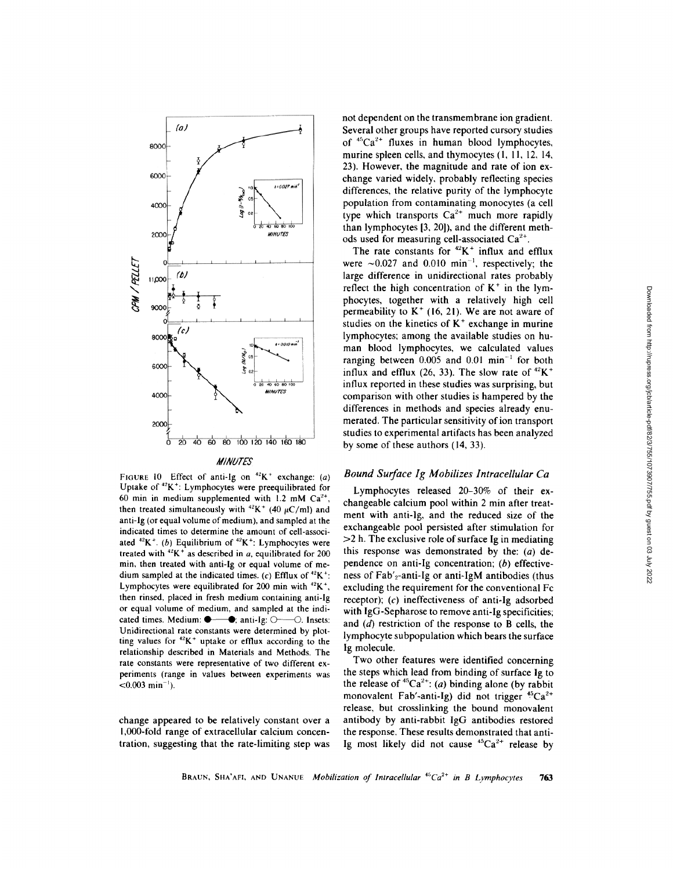

FIGURE 10 Effect of anti-Ig on  $^{42}K^+$  exchange: (a) Uptake of  ${}^{42}K^+$ : Lymphocytes were preequilibrated for 60 min in medium supplemented with 1.2 mM  $Ca^{2+}$ , then treated simultaneously with  $^{42}K^+$  (40  $\mu$ C/ml) and anti-Ig (or equal volume of medium), and sampled at the indicated times to determine the amount of cell-associated  $^{42}K^+$ . (b) Equilibrium of  $^{42}K^+$ : Lymphocytes were treated with  $^{42}$ K<sup>+</sup> as described in a, equilibrated for 200 min, then treated with anti-Ig or equal volume of medium sampled at the indicated times. (c) Efflux of  $^{42}K^+$ : Lymphocytes were equilibrated for 200 min with  ${}^{42}$ K<sup>+</sup>, then rinsed, placed in fresh medium containing anti-Ig or equal volume of medium, and sampled at the indicated times. Medium anti-Ig 0--0. Insets: Unidirectional rate constants were determined by plotting values for  $42K^+$  uptake or efflux according to the relationship described in Materials and Methods. The rate constants were representative of two different experiments (range in values between experiments was  $< 0.003$  min<sup>-1</sup>).

change appeared to be relatively constant over a 1,000-fold range of extracellular calcium concentration, suggesting that the rate-limiting step was not dependent on the transmembrane ion gradient. Several other groups have reported cursory studies of  $45Ca^{2+}$  fluxes in human blood lymphocytes, murine spleen cells, and thymocytes  $(1, 11, 12, 14, 14)$ 23). However, the magnitude and rate of ion exchange varied widely, probably reflecting species differences, the relative purity of the lymphocyte population from contaminating monocytes (a cell type which transports  $Ca^{2+}$  much more rapidly than lymphocytes [3, 20]), and the different methods used for measuring cell-associated  $Ca^{2+}$ .

The rate constants for  $^{42}K^+$  influx and efflux were  $\sim 0.027$  and 0.010 min<sup>-1</sup>, respectively; the large difference in unidirectional rates probably reflect the high concentration of  $K^+$  in the lymphocytes, together with a relatively high cell permeability to  $K^+$  (16, 21). We are not aware of studies on the kinetics of  $K^+$  exchange in murine lymphocytes; among the available studies on human blood lymphocytes, we calculated values ranging between  $0.005$  and  $0.01$  min<sup>-1</sup> for both influx and efflux (26, 33). The slow rate of  $^{42}K^+$ influx reported in these studies was surprising, but comparison with other studies is hampered by the differences in methods and species already enumerated. The particular sensitivity of ion transport studies to experimental artifacts has been analyzed by some of these authors (14, 33).

### Bound Surface Ig Mobilizes Intracellular Ca

Lymphocytes released 20-30% of their exchangeable calcium pool within 2 min after treatment with anti-1g, and the reduced size of the exchangeable pool persisted after stimulation for  $>2$  h. The exclusive role of surface Ig in mediating this response was demonstrated by the:  $(a)$  dependence on anti-Ig concentration; (b) effectiveness of Fab'<sub>2</sub>-anti-Ig or anti-IgM antibodies (thus excluding the requirement for the conventional Fc receptor); (c) ineffectiveness of anti-Ig adsorbed with IgG-Sepharose to remove anti-Ig specificities; and  $(d)$  restriction of the response to B cells, the lymphocyte subpopulation which bears the surface Ig molecule.

Two other features were identified concerning the steps which lead from binding of surface Ig to the release of  ${}^{45}Ca^{2+}$ : (a) binding alone (by rabbit monovalent Fab'-anti-Ig) did not trigger  ${}^{45}Ca^{2+}$ release, but crosslinking the bound monovalent antibody by anti-rabbit IgG antibodies restored the response. These results demonstrated that anti-Ig most likely did not cause  $45Ca^{2+}$  release by

#### BRAUN, SHA'AFI, AND UNANUE Mobilization of Intracellular  $^{45}Ca^{2+}$  in B Lymphocytes 763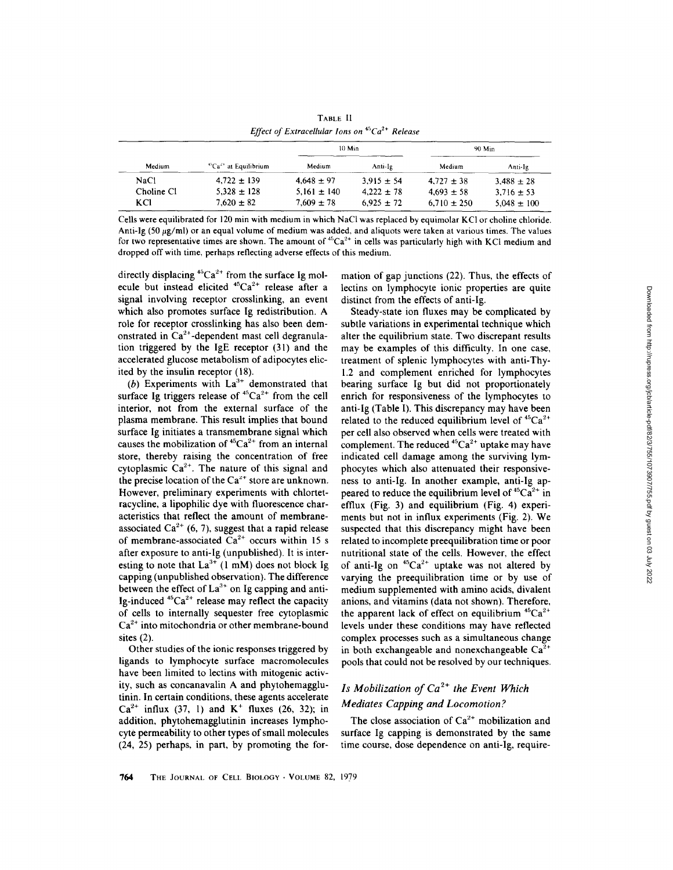| Medium     | ${}^{45}Ca23$ at Equilibrium | 10 Min          |                | 90 Min          |                 |
|------------|------------------------------|-----------------|----------------|-----------------|-----------------|
|            |                              | Medium          | Anti-Ig        | Medium          | Anti-1g         |
| NaCl       | $4,722 \pm 139$              | $4,648 \pm 97$  | $3.915 \pm 54$ | $4.727 \pm 38$  | $3.488 \pm 28$  |
| Choline Cl | $5.328 \pm 128$              | $5.161 \pm 140$ | $4.222 \pm 78$ | $4.693 \pm 58$  | $3.716 \pm 53$  |
| KCI        | $7.620 \pm 82$               | $7.609 \pm 78$  | $6.925 \pm 72$ | $6.710 \pm 250$ | $5.048 \pm 100$ |

TABLE <sup>11</sup> Effect of Extracellular Ions on  $45Ca^{2+}$  Release

directly displacing  $45Ca^{2+}$  from the surface Ig molecule but instead elicited  $45Ca^{2+}$  release after a signal involving receptor crosslinking, an event which also promotes surface Ig redistribution . A role for receptor crosslinking has also been demonstrated in  $Ca^{2+}$ -dependent mast cell degranulation triggered by the IgE receptor (31) and the accelerated glucose metabolism of adipocytes elicited by the insulin receptor (18) .

(b) Experiments with  $La^{3+}$  demonstrated that surface Ig triggers release of  ${}^{45}Ca^{2+}$  from the cell interior, not from the external surface of the plasma membrane. This result implies that bound surface Ig initiates a transmembrane signal which causes the mobilization of  ${}^{45}Ca^{2+}$  from an internal store, thereby raising the concentration of free cytoplasmic  $Ca^{2+}$ . The nature of this signal and the precise location of the  $Ca^{2+}$  store are unknown. However, preliminary experiments with chlortetracycline, a lipophilic dye with fluorescence characteristics that reflect the amount of membraneassociated  $Ca^{2+}$  (6, 7), suggest that a rapid release of membrane-associated  $Ca^{2+}$  occurs within 15 s after exposure to anti-Ig (unpublished). It is interesting to note that  $La^{3+}$  (1 mM) does not block Ig capping (unpublished observation). The difference between the effect of  $La^{3+}$  on Ig capping and anti-Ig-induced  ${}^{45}Ca^{2+}$  release may reflect the capacity of cells to internally sequester free cytoplasmic  $Ca<sup>2+</sup>$  into mitochondria or other membrane-bound sites (2).

Other studies of the ionic responses triggered by ligands to lymphocyte surface macromolecules have been limited to lectins with mitogenic activity, such as concanavalin A and phytohemagglutinin. In certain conditions, these agents accelerate  $Ca^{2+}$  influx (37, 1) and K<sup>+</sup> fluxes (26, 32); in addition, phytohemagglutinin increases lymphocyte permeability to other types of small molecules (24, 25) perhaps, in part, by promoting the formation of gap junctions (22). Thus, the effects of lectins on lymphocyte ionic properties are quite distinct from the effects of anti-Ig.

Steady-state ion fluxes may be complicated by subtle variations in experimental technique which alter the equilibrium state. Two discrepant results may be examples of this difficulty. In one case, treatment of splenic lymphocytes with anti-Thy-1.2 and complement enriched for lymphocytes bearing surface Ig but did not proportionately enrich for responsiveness of the lymphocytes to anti-Ig (Table I). This discrepancy may have been related to the reduced equilibrium level of  ${}^{45}Ca^{2+}$ per cell also observed when cells were treated with complement. The reduced  ${}^{45}Ca^{2+}$  uptake may have indicated cell damage among the surviving lymphocytes which also attenuated their responsiveness to anti-Ig. In another example, anti-Ig appeared to reduce the equilibrium level of  ${}^{45}Ca^{2+}$  in efflux (Fig. 3) and equilibrium (Fig. 4) experiments but not in influx experiments (Fig. 2). We suspected that this discrepancy might have been related to incomplete preequilibration time or poor nutritional state of the cells. However, the effect of anti-Ig on  ${}^{45}Ca^{2+}$  uptake was not altered by varying the preequilibration time or by use of medium supplemented with amino acids, divalent anions, and vitamins (data not shown). Therefore, the apparent lack of effect on equilibrium  ${}^{45}Ca^{2+}$ levels under these conditions may have reflected complex processes such as a simultaneous change in both exchangeable and nonexchangeable  $Ca^{2+}$ pools that could not be resolved by our techniques .

# Is Mobilization of  $Ca^{2+}$  the Event Which Mediates Capping and Locomotion?

The close association of  $Ca^{2+}$  mobilization and surface Ig capping is demonstrated by the same time course, dose dependence on anti-Ig, require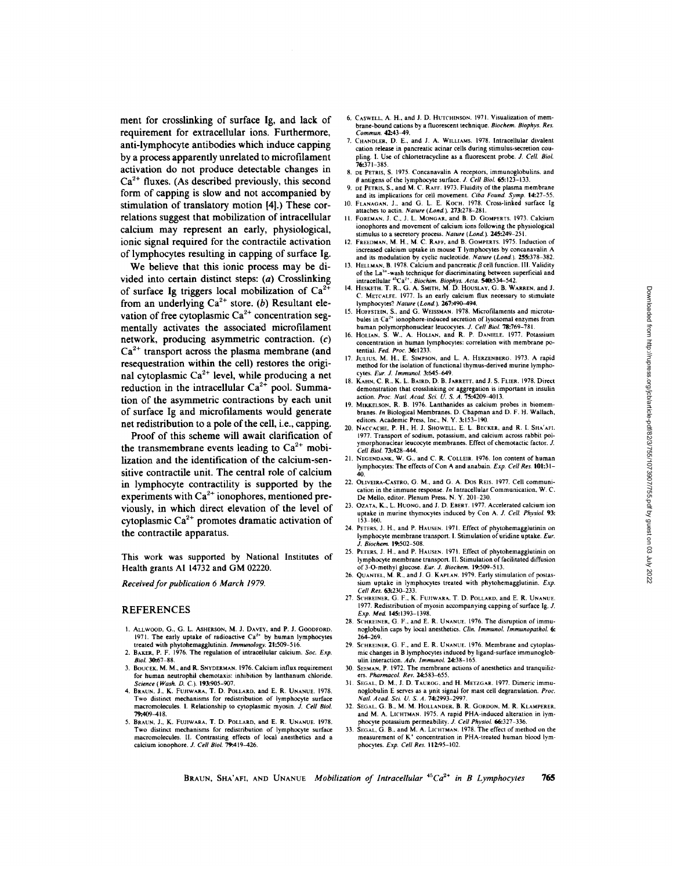ment for crosslinking of surface Ig, and lack of requirement for extracellular ions. Furthermore, anti-lymphocyte antibodies which induce capping by aprocess apparently unrelated to microfilament activation do not produce detectable changes in  $Ca<sup>2+</sup>$  fluxes. (As described previously, this second form of capping is slow and not accompanied by stimulation of translatory motion [4].) These correlations suggest that mobilization of intracellular calcium may represent an early, physiological, ionic signal required for the contractile activation of lymphocytes resulting in capping of surface Ig.

We believe that this ionic process may be divided into certain distinct steps: (a) Crosslinking of surface Ig triggers local mobilization of  $Ca<sup>2</sup>$ from an underlying  $Ca^{2+}$  store. (b) Resultant elevation of free cytoplasmic  $Ca^{2+}$  concentration segmentally activates the associated microfilament network, producing asymmetric contraction. (c)  $Ca<sup>2+</sup>$  transport across the plasma membrane (and resequestration within the cell) restores the original cytoplasmic  $Ca^{2+}$  level, while producing a net reduction in the intracellular  $Ca^{2+}$  pool. Summation of the asymmetric contractions by each unit of surface Ig and microfilaments would generate net redistribution to a pole of the cell, i.e., capping.

Proof of this scheme will await clarification of the transmembrane events leading to  $Ca^{2+}$  mobilization and the identification of the calcium-sensitive contractile unit. The central role of calcium in lymphocyte contractility is supported by the experiments with  $Ca^{2+}$  ionophores, mentioned previously, in which direct elevation of the level of cytoplasmic  $Ca^{2+}$  promotes dramatic activation of the contractile apparatus.

This work was supported by National Institutes of Health grants AI <sup>14732</sup> and GM 02220.

Received for publication 6 March 1979.

#### **REFERENCES**

- 1. ALLWOOD, G., G. L. ASHERSON, M. J. DAVEY, and P. J. GOODFORD.<br>1971. The early uptake of radioactive Ca<sup>2+</sup> by human lymphocytes<br>treated with phytohemagglutinin. *Immunology*. **21:509**-516.
- 2. BAKER, P. F. 1976. The regulation of intracellular calcium. Soc. Exp. Biol 30:67-88
- 3. BOUCEK, M. M., and R. SNYDERMAN. 1976. Calcium influx requirement for human neutrophil chemotaxis: inhibition by lanthanum chloride Science (Wash. D. C.). 193:905-907.
- 4. BRAUN, J., K. FUJIWARA, T. D. POLLARD, and E. R. UNANUE. 1978. Two distinct mechanisms for redistribution of lymphocyte surface macromolecules. I. Relationship to cytoplasmic myosin. J. Cell Biol. 79-.409-418 .
- 5. BRAUN, J., K. FUJIWARA, T. D. POLLARD, and E. R. UNANUE. 1978. Two distinct mechanisms for redistribution of lymphocyte surface macromolecules . II Contrasting effects of local anesthetics and a calcium ionophore. J. Cell Biol. 79:419-426.
- 6. CASWELL, A. H., and J. D. HUTCHINSON. 1971. Visualization of membrane-bound cations by a fluorescent technique. Biochem. Biophys. Res. Commun 42:43-49.
- 7. CHANDLER, D. E., and J. A. WILLIAMS, 1978. Intracellular divalent cation release in pancreatic acinar cells during stimulus-secretion coupling. I. Use of chlortetracycline as a fluorescent probe. J. Cell. Biol.<br>76-371-385
- 76:371-385 . 8. DE PETRIS, S. <sup>1975</sup> . Concanavalin A receptors, immunoglobulins. and  $\theta$  antigens of the lymphocyte surface. J. Cell Biol. 65:123-133.
- 9. DE PETRIS, S., and M. C. RAFF. 1973. Fluidity of the plasma membrane and its implications for cell movement. Ciba Found. Symp. 14:27-55. 10. FLANAGAN, J., and G. L. E. KOCH. 1978. Cross-linked surface Ig
- attaches to actin. Nature (Lond.). 273:278-281. FOREMAN, J. C., J. L. MONGAR, and B. D. GOMPERTS. 1973. Calcium ionophores and movement of calcium ions following the physiological
- stimulus to a secretory process. *Nature* (*Lond.*). **245:24**9-251.<br>12. FREEDMAN, M. H., M. C. RAFF, and B. GOMPERTS. 1975. Induction of increased calcium uptake in mouse T lymphocytes by concanavalin A and its modulation by cyclic nucleotide. Nature (Lond.). 255:378-382.
- 13. HELLMAN, B. 1978. Calcium and pancreatic  $\beta$  cell function. III. Validity of the La<sup>3+</sup>-wash technique for discriminating between superficial and
- intracellular "Ca<sup>-+</sup>. Biochim. Biophys. Acia. 540:534-542.<br>14. HESKETH, T. R., G. A. SMITH, M. D. HOUSLAY, G. B. WARREN, and J C. METCALFE. <sup>1977</sup> . Is an early calcium flux necessary to stimulate
- lymphocytes? *Nature (Lond.)* . 267:490-494.<br>15. HOFFSTEIN, S., and G. WEISSMAN, 1978. Microfilaments and microtubules in  $Ca<sup>2+</sup>$  ionophore-induced secretion of lysosomal enzymes from
- human polymorphonuclear leucocytes. *J. Cell Biol. 78:769–781*.<br>16. HOLIAN, S. W., A. HOLIAN, and R. P. DANIELE. 1977. Potassium concentration in human lymphocytes: correlation with membrane po-
- tential. Fed. Proc. 36:1233.<br>17. JULIUS, M. H., E. SIMPSON, and L. A. HERZENBERG. 1973. A rapid method for the isolation of functional thymus-derived murine lymphocytes Eur. J. Immunol. 3:645-649.
- 18. KAHN, C. R., K. L. BAIRD, D. B. JARRETT, and J. S. FLIER. 1978. Direct demonstration that crosslinking or aggregation is important in insuline<br>action. Proc. Natl. Acad. Sci. U. S. A. 75:4209-4013.<br>19. Mikkelson, R. B. 1976. Lanthanides as calcium probes in biomem-
- branes. In Biological Membranes. D. Chapman and D. F. H. Wallach, editors. Academic Press, Inc., N. Y. 3:153-190.
- 20. NACCACHE, P. H., H. J. SHOWELL, E. L. BECKER, and R. I. SHA'AFI. 1977 . Transport of sodium, potassium, and calcium across rabbit polymorphonuclear leucocyte membranes. Effect of chemotactic factor. J. Cell Biol. 73.428-444 .
- 21. NEGENDANK, W. G., and C. R. COLLEIR. 1976. Ion content of human lymphocytes: The effects of Con A and anabain.  $Exp$ . Cell Res. 101:31-40
- 40. 22. OLIVEIRA-CASTRO, G . M., and G . A. Dos REIS <sup>1977</sup> . Cell communication in the immune response . In Intracellular Communication, W. C. De Mello, editor. Plenum Press, N.Y. 201-230.
- 23. OZATA, K., L. HUONG, and J. D. EBERT. 1977. Accelerated calcium ion uptake in murine thymocytes induced by Con A. J. Cell. Physiol. 93:<br>153-160.
- 153-160. <sup>24</sup> PETERS, <sup>J</sup> . H . and P HAUSEN . <sup>1971</sup> Effect of phytohemagglutinin on lymphocyte membrane transport. I. Stimulation of uridine uptake. Eur. J. Biochem. 19:502-508 .
- 25. PETERS, J. H., and P. HAUSEN. 1971. Effect of phytohemagglutinin on lymphocyte membrane transport. II. Stimulation of facilitated diffusion of 3-O-methyl glucose. Eur. J. Biochem. 19:509-513.
- 26. QUANTEL, M. R., and J. G. KAPLAN. 1979. Early stimulation of postassium uptake in lymphocytes treated with phytohemagglutinin.  $Exp$ .<br>Cell Res 63-230-233
- Cell Res 63:230-233. <sup>27</sup> SCHREINER, G . F., K. FUIIWARA, T D . POLLARD, and E . R . UNANUE. 1977 Redistribution of myosin accompanying capping of surface Ig. J. Exp. Med. 145:1393-1398.
- 28. SCHREINER, G. F., and E. R. UNANUE. 1976. The disruption of immunoglobulin caps by local anesthetics. Clin. Immunol. Immunopathol. 6: 264-269 .
- 29. SCHREINER, G. F., and E. R. UNANUE. 1976. Membrane and cytoplasmic changes in B lymphocytes induced by ligand-surface immunoglob-
- ulin interaction. Adv. Immunol. 24:38-165.<br>30. SEEMAN, P. 1972. The membrane actions of anesthetics and tranquilizers. Pharmacol. Rev. 24:583-655
- 31. SEGAL, D. M., J. D. TAUROG, and H. METZGAR. 1977. Dimeric immunoglobulin E serves as <sup>a</sup> unit signal for mast cell degranulation. Proc. Nail. Acad. Sci. U. S. A 74:2993-2997.
- 32. SEGAL, G. B., M. M. HOLLANDER, B. R. GORDON, M. R. KLAMPERER, and M. A. LICHTMAN. 1975. A rapid PHA-induced alteration in lymhocyte potassium permeability. J. Cell Physiol. 66:327-336.
- <sup>33</sup> . SEGAL, G . B., and M. A LICHTMAN . <sup>1978</sup> The effect of method on the measurement of K' concentration in PHA-treated human blood lymphocytes. Exp. Cell Res. 112:95-102.

BRAUN, SHA'AFI, AND UNANUE Mobilization of Intracellular  ${}^{45}Ca<sup>2+</sup>$  in B Lymphocytes 765